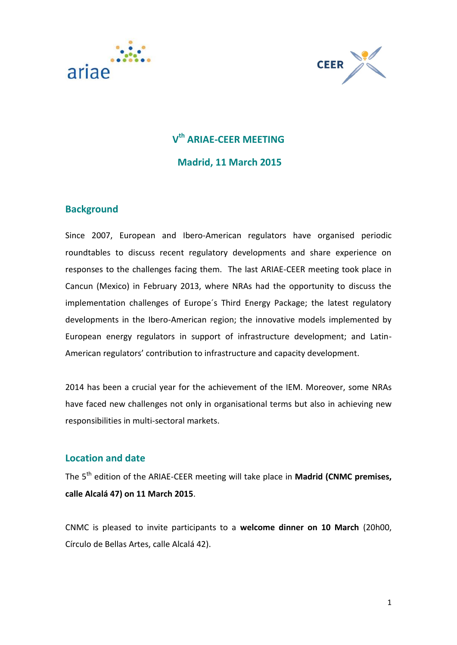



# **V th ARIAE-CEER MEETING Madrid, 11 March 2015**

## **Background**

Since 2007, European and Ibero-American regulators have organised periodic roundtables to discuss recent regulatory developments and share experience on responses to the challenges facing them. The last ARIAE-CEER meeting took place in Cancun (Mexico) in February 2013, where NRAs had the opportunity to discuss the implementation challenges of Europe´s Third Energy Package; the latest regulatory developments in the Ibero-American region; the innovative models implemented by European energy regulators in support of infrastructure development; and Latin-American regulators' contribution to infrastructure and capacity development.

2014 has been a crucial year for the achievement of the IEM. Moreover, some NRAs have faced new challenges not only in organisational terms but also in achieving new responsibilities in multi-sectoral markets.

### **Location and date**

The 5th edition of the ARIAE-CEER meeting will take place in **Madrid (CNMC premises, calle Alcalá 47) on 11 March 2015**.

CNMC is pleased to invite participants to a **welcome dinner on 10 March** (20h00, Círculo de Bellas Artes, calle Alcalá 42).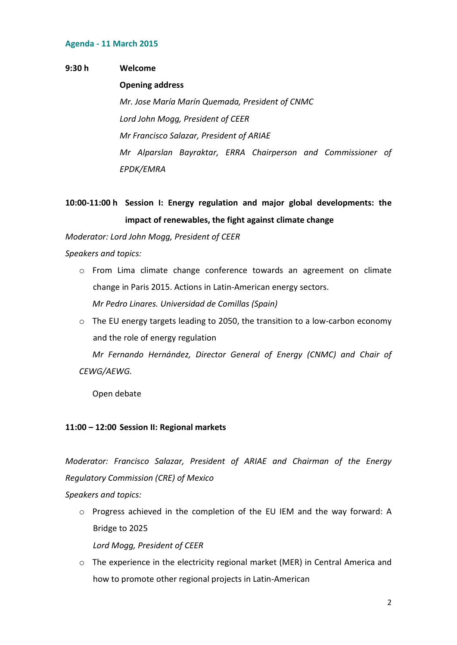#### **Agenda - 11 March 2015**

#### **9:30 h Welcome**

#### **Opening address**

*Mr. Jose María Marín Quemada, President of CNMC Lord John Mogg, President of CEER Mr Francisco Salazar, President of ARIAE Mr Alparslan Bayraktar, ERRA Chairperson and Commissioner of EPDK/EMRA*

# **10:00-11:00 h Session I: Energy regulation and major global developments: the impact of renewables, the fight against climate change**

*Moderator: Lord John Mogg, President of CEER*

*Speakers and topics:*

- o From Lima climate change conference towards an agreement on climate change in Paris 2015. Actions in Latin-American energy sectors. *Mr Pedro Linares. Universidad de Comillas (Spain)*
- o The EU energy targets leading to 2050, the transition to a low-carbon economy and the role of energy regulation

*Mr Fernando Hernández, Director General of Energy (CNMC) and Chair of CEWG/AEWG.*

Open debate

### **11:00 – 12:00 Session II: Regional markets**

*Moderator: Francisco Salazar, President of ARIAE and Chairman of the Energy Regulatory Commission (CRE) of Mexico*

*Speakers and topics:*

o Progress achieved in the completion of the EU IEM and the way forward: A Bridge to 2025

*Lord Mogg, President of CEER*

o The experience in the electricity regional market (MER) in Central America and how to promote other regional projects in Latin-American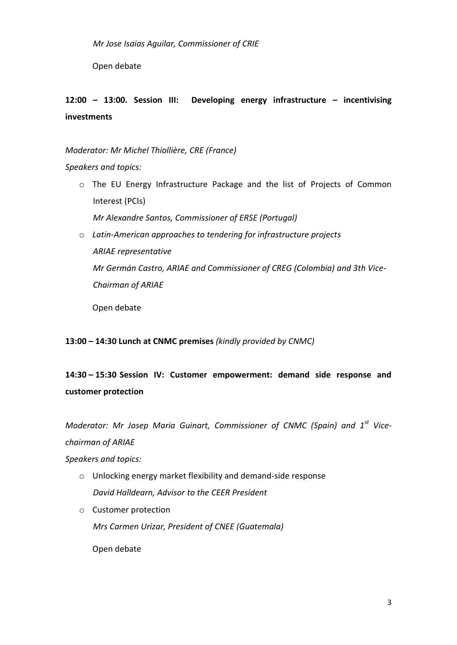Open debate

# **12:00 – 13:00. Session III: Developing energy infrastructure – incentivising investments**

*Moderator: Mr Michel Thiollière, CRE (France)*

### *Speakers and topics:*

o The EU Energy Infrastructure Package and the list of Projects of Common Interest (PCIs)

*Mr Alexandre Santos, Commissioner of ERSE (Portugal)*

o *Latin-American approaches to tendering for infrastructure projects ARIAE representative Mr Germán Castro, ARIAE and Commissioner of CREG (Colombia) and 3th Vice-Chairman of ARIAE*

Open debate

### **13:00 – 14:30 Lunch at CNMC premises** *(kindly provided by CNMC)*

# **14:30 – 15:30 Session IV: Customer empowerment: demand side response and customer protection**

*Moderator: Mr Josep Maria Guinart, Commissioner of CNMC (Spain) and 1st Vicechairman of ARIAE*

*Speakers and topics:*

- o Unlocking energy market flexibility and demand-side response *David Halldearn, Advisor to the CEER President*
- o Customer protection *Mrs Carmen Urizar, President of CNEE (Guatemala)*

Open debate